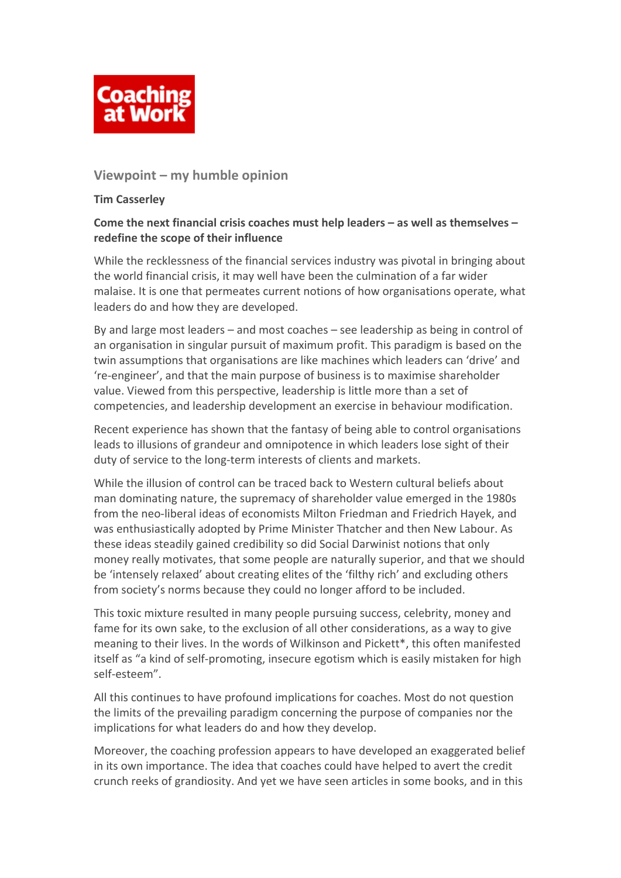

# **Viewpoint – my humble opinion**

## **Tim Casserley**

# **Come the next financial crisis coaches must help leaders – as well as themselves – redefine the scope of their influence**

While the recklessness of the financial services industry was pivotal in bringing about the world financial crisis, it may well have been the culmination of a far wider malaise. It is one that permeates current notions of how organisations operate, what leaders do and how they are developed.

By and large most leaders – and most coaches – see leadership as being in control of an organisation in singular pursuit of maximum profit. This paradigm is based on the twin assumptions that organisations are like machines which leaders can 'drive' and 're‐engineer', and that the main purpose of business is to maximise shareholder value. Viewed from this perspective, leadership is little more than a set of competencies, and leadership development an exercise in behaviour modification.

Recent experience has shown that the fantasy of being able to control organisations leads to illusions of grandeur and omnipotence in which leaders lose sight of their duty of service to the long‐term interests of clients and markets.

While the illusion of control can be traced back to Western cultural beliefs about man dominating nature, the supremacy of shareholder value emerged in the 1980s from the neo‐liberal ideas of economists Milton Friedman and Friedrich Hayek, and was enthusiastically adopted by Prime Minister Thatcher and then New Labour. As these ideas steadily gained credibility so did Social Darwinist notions that only money really motivates, that some people are naturally superior, and that we should be 'intensely relaxed' about creating elites of the 'filthy rich' and excluding others from society's norms because they could no longer afford to be included.

This toxic mixture resulted in many people pursuing success, celebrity, money and fame for its own sake, to the exclusion of all other considerations, as a way to give meaning to their lives. In the words of Wilkinson and Pickett\*, this often manifested itself as "a kind of self‐promoting, insecure egotism which is easily mistaken for high self‐esteem".

All this continues to have profound implications for coaches. Most do not question the limits of the prevailing paradigm concerning the purpose of companies nor the implications for what leaders do and how they develop.

Moreover, the coaching profession appears to have developed an exaggerated belief in its own importance. The idea that coaches could have helped to avert the credit crunch reeks of grandiosity. And yet we have seen articles in some books, and in this